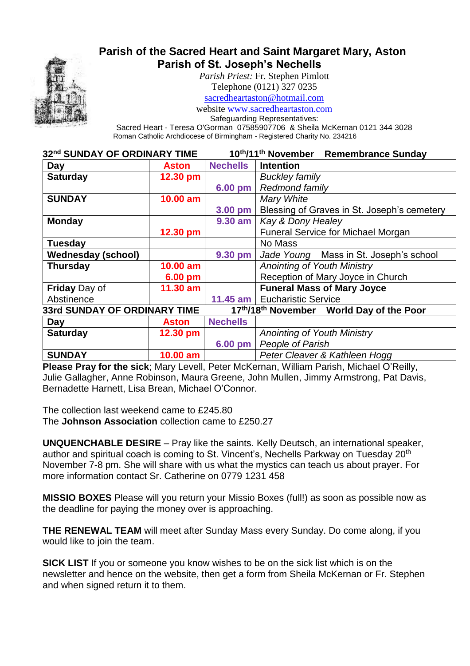

# **Parish of the Sacred Heart and Saint Margaret Mary, Aston Parish of St. Joseph's Nechells**

*Parish Priest:* Fr. Stephen Pimlott

Telephone (0121) 327 0235

[sacredheartaston@hotmail.com](mailto:sacredheartaston@hotmail.com)

website [www.sacredheartaston.com](http://www.sacredheartaston.com/)

Safeguarding Representatives:

Sacred Heart - Teresa O'Gorman 07585907706 & Sheila McKernan 0121 344 3028 Roman Catholic Archdiocese of Birmingham - Registered Charity No. 234216

| 32nd SUNDAY OF ORDINARY TIME |                   | 10th/11th November<br><b>Remembrance Sunday</b> |                                             |
|------------------------------|-------------------|-------------------------------------------------|---------------------------------------------|
| Day                          | <b>Aston</b>      | <b>Nechells</b>                                 | <b>Intention</b>                            |
| <b>Saturday</b>              | 12.30 pm          |                                                 | <b>Buckley family</b>                       |
|                              |                   | 6.00 pm                                         | <b>Redmond family</b>                       |
| <b>SUNDAY</b>                | $10.00$ am        |                                                 | Mary White                                  |
|                              |                   | 3.00 pm                                         | Blessing of Graves in St. Joseph's cemetery |
| <b>Monday</b>                |                   | 9.30 am                                         | <b>Kay &amp; Dony Healey</b>                |
|                              | 12.30 pm          |                                                 | <b>Funeral Service for Michael Morgan</b>   |
| <b>Tuesday</b>               |                   |                                                 | No Mass                                     |
| <b>Wednesday (school)</b>    |                   | 9.30 pm                                         | Jade Young Mass in St. Joseph's school      |
| <b>Thursday</b>              | 10.00 am          |                                                 | <b>Anointing of Youth Ministry</b>          |
|                              | $6.00 \text{ pm}$ |                                                 | Reception of Mary Joyce in Church           |
| <b>Friday Day of</b>         | $11.30$ am        |                                                 | <b>Funeral Mass of Mary Joyce</b>           |
| Abstinence                   |                   |                                                 | 11.45 am   Eucharistic Service              |
| 33rd SUNDAY OF ORDINARY TIME |                   |                                                 | 17th/18th November World Day of the Poor    |
| Day                          | Aston             | <b>Nechells</b>                                 |                                             |
| <b>Saturday</b>              | 12.30 pm          |                                                 | <b>Anointing of Youth Ministry</b>          |
|                              |                   | 6.00 pm                                         | People of Parish                            |
| <b>SUNDAY</b>                | 10.00 am          |                                                 | Peter Cleaver & Kathleen Hogg               |

**Please Pray for the sick**; Mary Levell, Peter McKernan, William Parish, Michael O'Reilly, Julie Gallagher, Anne Robinson, Maura Greene, John Mullen, Jimmy Armstrong, Pat Davis, Bernadette Harnett, Lisa Brean, Michael O'Connor.

The collection last weekend came to £245.80 The **Johnson Association** collection came to £250.27

**UNQUENCHABLE DESIRE** – Pray like the saints. Kelly Deutsch, an international speaker, author and spiritual coach is coming to St. Vincent's, Nechells Parkway on Tuesday 20<sup>th</sup> November 7-8 pm. She will share with us what the mystics can teach us about prayer. For more information contact Sr. Catherine on 0779 1231 458

**MISSIO BOXES** Please will you return your Missio Boxes (full!) as soon as possible now as the deadline for paying the money over is approaching.

**THE RENEWAL TEAM** will meet after Sunday Mass every Sunday. Do come along, if you would like to join the team.

**SICK LIST** If you or someone you know wishes to be on the sick list which is on the newsletter and hence on the website, then get a form from Sheila McKernan or Fr. Stephen and when signed return it to them.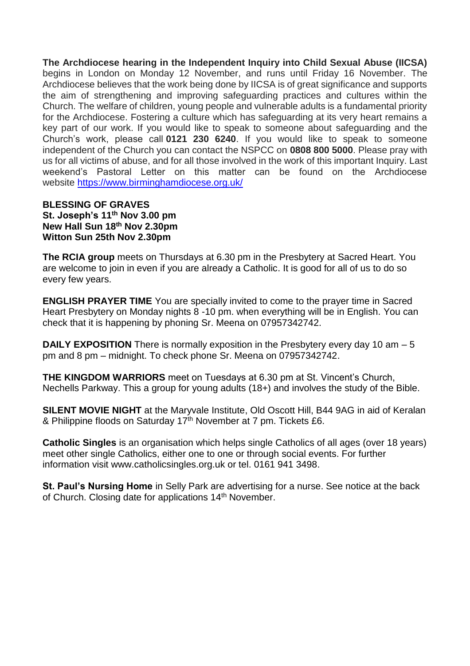**The Archdiocese hearing in the Independent Inquiry into Child Sexual Abuse (IICSA)** begins in London on Monday 12 November, and runs until Friday 16 November. The Archdiocese believes that the work being done by IICSA is of great significance and supports the aim of strengthening and improving safeguarding practices and cultures within the Church. The welfare of children, young people and vulnerable adults is a fundamental priority for the Archdiocese. Fostering a culture which has safeguarding at its very heart remains a key part of our work. If you would like to speak to someone about safeguarding and the Church's work, please call **0121 230 6240**. If you would like to speak to someone independent of the Church you can contact the NSPCC on **0808 800 5000**. Please pray with us for all victims of abuse, and for all those involved in the work of this important Inquiry. Last weekend's Pastoral Letter on this matter can be found on the Archdiocese website <https://www.birminghamdiocese.org.uk/>

#### **BLESSING OF GRAVES St. Joseph's 11th Nov 3.00 pm New Hall Sun 18th Nov 2.30pm Witton Sun 25th Nov 2.30pm**

**The RCIA group** meets on Thursdays at 6.30 pm in the Presbytery at Sacred Heart. You are welcome to join in even if you are already a Catholic. It is good for all of us to do so every few years.

**ENGLISH PRAYER TIME** You are specially invited to come to the prayer time in Sacred Heart Presbytery on Monday nights 8 -10 pm. when everything will be in English. You can check that it is happening by phoning Sr. Meena on 07957342742.

**DAILY EXPOSITION** There is normally exposition in the Presbytery every day 10 am – 5 pm and 8 pm – midnight. To check phone Sr. Meena on 07957342742.

**THE KINGDOM WARRIORS** meet on Tuesdays at 6.30 pm at St. Vincent's Church, Nechells Parkway. This a group for young adults (18+) and involves the study of the Bible.

**SILENT MOVIE NIGHT** at the Maryvale Institute, Old Oscott Hill, B44 9AG in aid of Keralan & Philippine floods on Saturday 17<sup>th</sup> November at 7 pm. Tickets £6.

**Catholic Singles** is an organisation which helps single Catholics of all ages (over 18 years) meet other single Catholics, either one to one or through social events. For further information visit www.catholicsingles.org.uk or tel. 0161 941 3498.

**St. Paul's Nursing Home** in Selly Park are advertising for a nurse. See notice at the back of Church. Closing date for applications 14<sup>th</sup> November.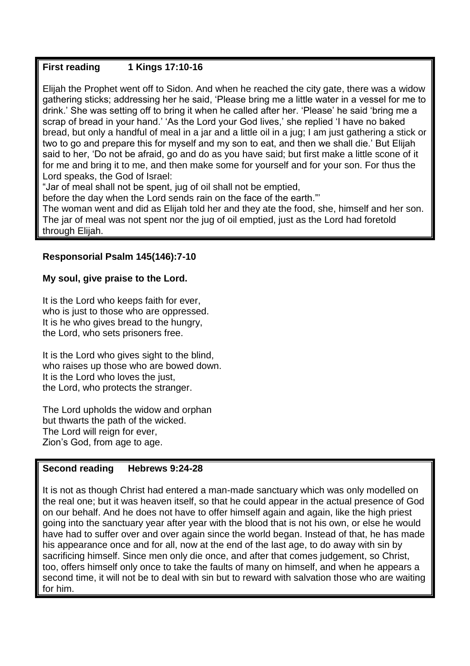# **First reading 1 Kings 17:10-16**

Elijah the Prophet went off to Sidon. And when he reached the city gate, there was a widow gathering sticks; addressing her he said, 'Please bring me a little water in a vessel for me to drink.' She was setting off to bring it when he called after her. 'Please' he said 'bring me a scrap of bread in your hand.' 'As the Lord your God lives,' she replied 'I have no baked bread, but only a handful of meal in a jar and a little oil in a jug; I am just gathering a stick or two to go and prepare this for myself and my son to eat, and then we shall die.' But Elijah said to her, 'Do not be afraid, go and do as you have said; but first make a little scone of it for me and bring it to me, and then make some for yourself and for your son. For thus the Lord speaks, the God of Israel:

"Jar of meal shall not be spent, jug of oil shall not be emptied,

before the day when the Lord sends rain on the face of the earth."'

The woman went and did as Elijah told her and they ate the food, she, himself and her son. The jar of meal was not spent nor the jug of oil emptied, just as the Lord had foretold through Elijah.

#### **Responsorial Psalm 145(146):7-10**

#### **My soul, give praise to the Lord.**

It is the Lord who keeps faith for ever, who is just to those who are oppressed. It is he who gives bread to the hungry, the Lord, who sets prisoners free.

It is the Lord who gives sight to the blind, who raises up those who are bowed down. It is the Lord who loves the just, the Lord, who protects the stranger.

The Lord upholds the widow and orphan but thwarts the path of the wicked. The Lord will reign for ever, Zion's God, from age to age.

#### **Second reading Hebrews 9:24-28**

It is not as though Christ had entered a man-made sanctuary which was only modelled on the real one; but it was heaven itself, so that he could appear in the actual presence of God on our behalf. And he does not have to offer himself again and again, like the high priest going into the sanctuary year after year with the blood that is not his own, or else he would have had to suffer over and over again since the world began. Instead of that, he has made his appearance once and for all, now at the end of the last age, to do away with sin by sacrificing himself. Since men only die once, and after that comes judgement, so Christ, too, offers himself only once to take the faults of many on himself, and when he appears a second time, it will not be to deal with sin but to reward with salvation those who are waiting for him.